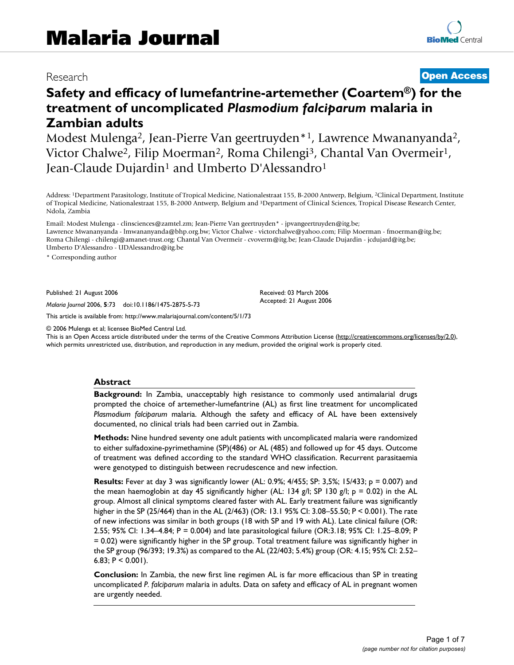# Research **[Open Access](http://www.biomedcentral.com/info/about/charter/)**

# **Safety and efficacy of lumefantrine-artemether (Coartem®) for the treatment of uncomplicated** *Plasmodium falciparum* **malaria in Zambian adults**

Modest Mulenga2, Jean-Pierre Van geertruyden\*1, Lawrence Mwananyanda2, Victor Chalwe<sup>2</sup>, Filip Moerman<sup>2</sup>, Roma Chilengi<sup>3</sup>, Chantal Van Overmeir<sup>1</sup>, Jean-Claude Dujardin<sup>1</sup> and Umberto D'Alessandro<sup>1</sup>

Address: 1Department Parasitology, Institute of Tropical Medicine, Nationalestraat 155, B-2000 Antwerp, Belgium, 2Clinical Department, Institute of Tropical Medicine, Nationalestraat 155, B-2000 Antwerp, Belgium and 3Department of Clinical Sciences, Tropical Disease Research Center, Ndola, Zambia

Email: Modest Mulenga - clinsciences@zamtel.zm; Jean-Pierre Van geertruyden\* - jpvangeertruyden@itg.be; Lawrence Mwananyanda - lmwananyanda@bhp.org.bw; Victor Chalwe - victorchalwe@yahoo.com; Filip Moerman - fmoerman@itg.be; Roma Chilengi - chilengi@amanet-trust.org; Chantal Van Overmeir - cvoverm@itg.be; Jean-Claude Dujardin - jcdujard@itg.be; Umberto D'Alessandro - UDAlessandro@itg.be

\* Corresponding author

Published: 21 August 2006

*Malaria Journal* 2006, **5**:73 doi:10.1186/1475-2875-5-73

[This article is available from: http://www.malariajournal.com/content/5/1/73](http://www.malariajournal.com/content/5/1/73)

© 2006 Mulenga et al; licensee BioMed Central Ltd.

This is an Open Access article distributed under the terms of the Creative Commons Attribution License [\(http://creativecommons.org/licenses/by/2.0\)](http://creativecommons.org/licenses/by/2.0), which permits unrestricted use, distribution, and reproduction in any medium, provided the original work is properly cited.

Received: 03 March 2006 Accepted: 21 August 2006

#### **Abstract**

**Background:** In Zambia, unacceptably high resistance to commonly used antimalarial drugs prompted the choice of artemether-lumefantrine (AL) as first line treatment for uncomplicated *Plasmodium falciparum* malaria. Although the safety and efficacy of AL have been extensively documented, no clinical trials had been carried out in Zambia.

**Methods:** Nine hundred seventy one adult patients with uncomplicated malaria were randomized to either sulfadoxine-pyrimethamine (SP)(486) or AL (485) and followed up for 45 days. Outcome of treatment was defined according to the standard WHO classification. Recurrent parasitaemia were genotyped to distinguish between recrudescence and new infection.

**Results:** Fever at day 3 was significantly lower (AL: 0.9%; 4/455; SP: 3,5%; 15/433; p = 0.007) and the mean haemoglobin at day 45 significantly higher (AL: 134 g/l; SP 130 g/l;  $p = 0.02$ ) in the AL group. Almost all clinical symptoms cleared faster with AL. Early treatment failure was significantly higher in the SP (25/464) than in the AL (2/463) (OR: 13.1 95% CI: 3.08–55.50; P < 0.001). The rate of new infections was similar in both groups (18 with SP and 19 with AL). Late clinical failure (OR: 2.55; 95% CI: 1.34–4.84; P = 0.004) and late parasitological failure (OR:3.18; 95% CI: 1.25–8.09; P = 0.02) were significantly higher in the SP group. Total treatment failure was significantly higher in the SP group (96/393; 19.3%) as compared to the AL (22/403; 5.4%) group (OR: 4.15; 95% CI: 2.52– 6.83;  $P < 0.001$ ).

**Conclusion:** In Zambia, the new first line regimen AL is far more efficacious than SP in treating uncomplicated *P. falciparum* malaria in adults. Data on safety and efficacy of AL in pregnant women are urgently needed.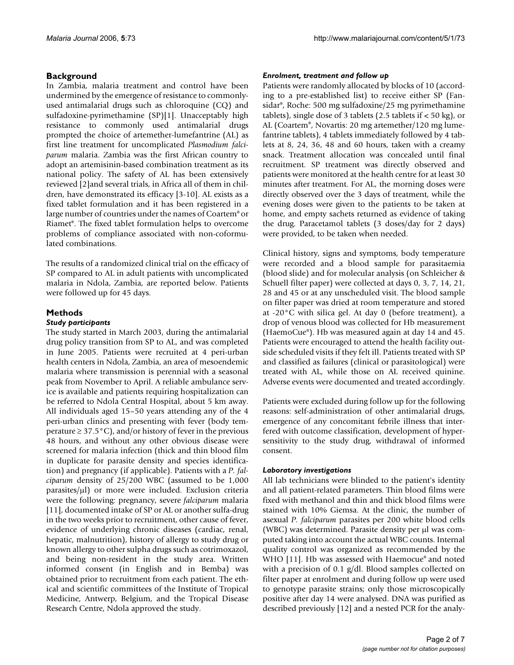# **Background**

In Zambia, malaria treatment and control have been undermined by the emergence of resistance to commonlyused antimalarial drugs such as chloroquine (CQ) and sulfadoxine-pyrimethamine (SP)[1]. Unacceptably high resistance to commonly used antimalarial drugs prompted the choice of artemether-lumefantrine (AL) as first line treatment for uncomplicated *Plasmodium falciparum* malaria. Zambia was the first African country to adopt an artemisinin-based combination treatment as its national policy. The safety of AL has been extensively reviewed [2]and several trials, in Africa all of them in children, have demonstrated its efficacy [3-10]. AL exists as a fixed tablet formulation and it has been registered in a large number of countries under the names of Coartem® or Riamet®. The fixed tablet formulation helps to overcome problems of compliance associated with non-coformulated combinations.

The results of a randomized clinical trial on the efficacy of SP compared to AL in adult patients with uncomplicated malaria in Ndola, Zambia, are reported below. Patients were followed up for 45 days.

# **Methods**

#### *Study participants*

The study started in March 2003, during the antimalarial drug policy transition from SP to AL, and was completed in June 2005. Patients were recruited at 4 peri-urban health centers in Ndola, Zambia, an area of mesoendemic malaria where transmission is perennial with a seasonal peak from November to April. A reliable ambulance service is available and patients requiring hospitalization can be referred to Ndola Central Hospital, about 5 km away. All individuals aged 15–50 years attending any of the 4 peri-urban clinics and presenting with fever (body temperature  $\geq$  37.5°C), and/or history of fever in the previous 48 hours, and without any other obvious disease were screened for malaria infection (thick and thin blood film in duplicate for parasite density and species identification) and pregnancy (if applicable). Patients with a *P. falciparum* density of 25/200 WBC (assumed to be 1,000  $parasites/µl)$  or more were included. Exclusion criteria were the following: pregnancy, severe *falciparum* malaria [11], documented intake of SP or AL or another sulfa-drug in the two weeks prior to recruitment, other cause of fever, evidence of underlying chronic diseases (cardiac, renal, hepatic, malnutrition), history of allergy to study drug or known allergy to other sulpha drugs such as cotrimoxazol, and being non-resident in the study area. Written informed consent (in English and in Bemba) was obtained prior to recruitment from each patient. The ethical and scientific committees of the Institute of Tropical Medicine, Antwerp, Belgium, and the Tropical Disease Research Centre, Ndola approved the study.

### *Enrolment, treatment and follow up*

Patients were randomly allocated by blocks of 10 (according to a pre-established list) to receive either SP (Fansidar®, Roche: 500 mg sulfadoxine/25 mg pyrimethamine tablets), single dose of 3 tablets (2.5 tablets if < 50 kg), or AL (Coartem®, Novartis: 20 mg artemether/120 mg lumefantrine tablets), 4 tablets immediately followed by 4 tablets at 8, 24, 36, 48 and 60 hours, taken with a creamy snack. Treatment allocation was concealed until final recruitment. SP treatment was directly observed and patients were monitored at the health centre for at least 30 minutes after treatment. For AL, the morning doses were directly observed over the 3 days of treatment, while the evening doses were given to the patients to be taken at home, and empty sachets returned as evidence of taking the drug. Paracetamol tablets (3 doses/day for 2 days) were provided, to be taken when needed.

Clinical history, signs and symptoms, body temperature were recorded and a blood sample for parasitaemia (blood slide) and for molecular analysis (on Schleicher & Schuell filter paper) were collected at days 0, 3, 7, 14, 21, 28 and 45 or at any unscheduled visit. The blood sample on filter paper was dried at room temperature and stored at -20°C with silica gel. At day 0 (before treatment), a drop of venous blood was collected for Hb measurement (HaemoCue®). Hb was measured again at day 14 and 45. Patients were encouraged to attend the health facility outside scheduled visits if they felt ill. Patients treated with SP and classified as failures (clinical or parasitological) were treated with AL, while those on AL received quinine. Adverse events were documented and treated accordingly.

Patients were excluded during follow up for the following reasons: self-administration of other antimalarial drugs, emergence of any concomitant febrile illness that interfered with outcome classification, development of hypersensitivity to the study drug, withdrawal of informed consent.

#### *Laboratory investigations*

All lab technicians were blinded to the patient's identity and all patient-related parameters. Thin blood films were fixed with methanol and thin and thick blood films were stained with 10% Giemsa. At the clinic, the number of asexual *P. falciparum* parasites per 200 white blood cells (WBC) was determined. Parasite density per µl was computed taking into account the actual WBC counts. Internal quality control was organized as recommended by the WHO [11]. Hb was assessed with Haemocue® and noted with a precision of 0.1 g/dl. Blood samples collected on filter paper at enrolment and during follow up were used to genotype parasite strains; only those microscopically positive after day 14 were analysed. DNA was purified as described previously [12] and a nested PCR for the analy-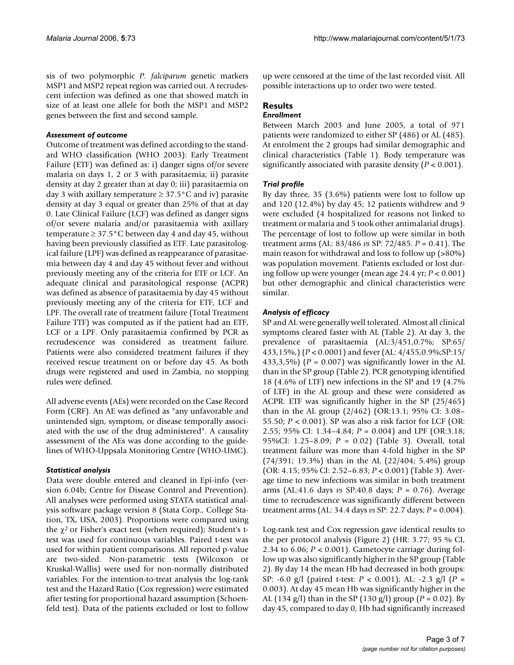sis of two polymorphic *P. falciparum* genetic markers MSP1 and MSP2 repeat region was carried out. A recrudescent infection was defined as one that showed match in size of at least one allele for both the MSP1 and MSP2 genes between the first and second sample.

#### *Assessment of outcome*

Outcome of treatment was defined according to the standard WHO classification (WHO 2003): Early Treatment Failure (ETF) was defined as: i) danger signs of/or severe malaria on days 1, 2 or 3 with parasitaemia; ii) parasite density at day 2 greater than at day 0; iii) parasitaemia on day 3 with axillary temperature  $\geq 37.5^{\circ}$ C and iv) parasite density at day 3 equal or greater than 25% of that at day 0. Late Clinical Failure (LCF) was defined as danger signs of/or severe malaria and/or parasitaemia with axillary temperature  $\geq 37.5^{\circ}$ C between day 4 and day 45, without having been previously classified as ETF. Late parasitological failure (LPF) was defined as reappearance of parasitaemia between day 4 and day 45 without fever and without previously meeting any of the criteria for ETF or LCF. An adequate clinical and parasitological response (ACPR) was defined as absence of parasitaemia by day 45 without previously meeting any of the criteria for ETF, LCF and LPF. The overall rate of treatment failure (Total Treatment Failure TTF) was computed as if the patient had an ETF, LCF or a LPF. Only parasitaemia confirmed by PCR as recrudescence was considered as treatment failure. Patients were also considered treatment failures if they received rescue treatment on or before day 45. As both drugs were registered and used in Zambia, no stopping rules were defined.

All adverse events (AEs) were recorded on the Case Record Form (CRF). An AE was defined as "any unfavorable and unintended sign, symptom, or disease temporally associated with the use of the drug administered". A causality assessment of the AEs was done according to the guidelines of WHO-Uppsala Monitoring Centre (WHO-UMC).

#### *Statistical analysis*

Data were double entered and cleaned in Epi-info (version 6.04b; Centre for Disease Control and Prevention). All analyses were performed using STATA statistical analysis software package version 8 (Stata Corp., College Station, TX, USA, 2003). Proportions were compared using the  $\chi^2$  or Fisher's exact test (when required); Student's ttest was used for continuous variables. Paired t-test was used for within patient comparisons. All reported p-value are two-sided. Non-parametric tests (Wilcoxon or Kruskal-Wallis) were used for non-normally distributed variables. For the intention-to-treat analysis the log-rank test and the Hazard Ratio (Cox regression) were estimated after testing for proportional hazard assumption (Schoenfeld test). Data of the patients excluded or lost to follow up were censored at the time of the last recorded visit. All possible interactions up to order two were tested.

# **Results**

#### *Enrollment*

Between March 2003 and June 2005, a total of 971 patients were randomized to either SP (486) or AL (485). At enrolment the 2 groups had similar demographic and clinical characteristics (Table 1). Body temperature was significantly associated with parasite density (*P* < 0.001).

#### *Trial profile*

By day three, 35 (3.6%) patients were lost to follow up and 120 (12.4%) by day 45; 12 patients withdrew and 9 were excluded (4 hospitalized for reasons not linked to treatment or malaria and 5 took other antimalarial drugs). The percentage of lost to follow up were similar in both treatment arms (AL: 83/486 *vs* SP: 72/485. *P* = 0.41). The main reason for withdrawal and loss to follow up (>80%) was population movement. Patients excluded or lost during follow up were younger (mean age 24.4 yr; *P* < 0.001) but other demographic and clinical characteristics were similar.

#### *Analysis of efficacy*

SP and AL were generally well tolerated. Almost all clinical symptoms cleared faster with AL (Table 2). At day 3, the prevalence of parasitaemia (AL:3/451,0.7%; SP:65/ 433,15%,) (*P* < 0.0001) and fever (AL: 4/455,0.9%;SP:15/ 433,3,5%) (*P* = 0.007) was significantly lower in the AL than in the SP group (Table 2). PCR genotyping identified 18 (4.6% of LTF) new infections in the SP and 19 (4.7% of LTF) in the AL group and these were considered as ACPR. ETF was significantly higher in the SP (25/465) than in the AL group (2/462) (OR:13.1; 95% CI: 3.08– 55.50; *P* < 0.001). SP was also a risk factor for LCF (OR: 2.55; 95% CI: 1.34–4.84; *P* = 0.004) and LPF (OR:3.18; 95%CI: 1.25–8.09; *P* = 0.02) (Table 3). Overall, total treatment failure was more than 4-fold higher in the SP (74/391; 19.3%) than in the AL (22/404; 5.4%) group (OR: 4.15; 95% CI: 2.52–6.83; *P* < 0.001) (Table 3). Average time to new infections was similar in both treatment arms (AL:41.6 days *vs* SP:40.8 days; *P* = 0.76). Average time to recrudescence was significantly different between treatment arms (AL: 34.4 days *vs* SP: 22.7 days; *P* = 0.004).

Log-rank test and Cox regression gave identical results to the per protocol analysis (Figure 2) (HR: 3.77; 95 % CI, 2.34 to 6.06; *P* < 0.001). Gametocyte carriage during follow up was also significantly higher in the SP group (Table 2). By day 14 the mean Hb had decreased in both groups: SP: -6.0 g/l (paired t-test: *P* < 0.001); AL: -2.3 g/l (*P* = 0.003). At day 45 mean Hb was significantly higher in the AL (134 g/l) than in the SP (130 g/l) group (*P* = 0.02). By day 45, compared to day 0, Hb had significantly increased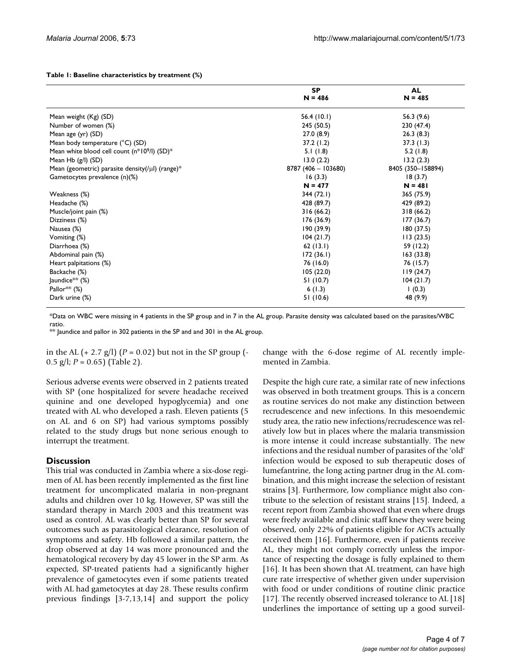|  |  |  |  |  |  | Table 1: Baseline characteristics by treatment (%) |  |
|--|--|--|--|--|--|----------------------------------------------------|--|
|--|--|--|--|--|--|----------------------------------------------------|--|

|                                                       | <b>SP</b><br>$N = 486$ | <b>AL</b><br>$N = 485$ |
|-------------------------------------------------------|------------------------|------------------------|
| Mean weight (Kg) (SD)                                 | 56.4(10.1)             | 56.3 (9.6)             |
| Number of women (%)                                   | 245 (50.5)             | 230 (47.4)             |
| Mean age (yr) (SD)                                    | 27.0(8.9)              | 26.3(8.3)              |
| Mean body temperature (°C) (SD)                       | 37.2(1.2)              | 37.3(1.3)              |
| Mean white blood cell count (n*109/l) (SD)*           | 5.1(1.8)               | 5.2(1.8)               |
| Mean Hb $(g/l)$ (SD)                                  | 13.0(2.2)              | 13.2(2.3)              |
| Mean (geometric) parasite density(/ $\mu$ I) (range)* | 8787 (406 - 103680)    | 8405 (350-158894)      |
| Gametocytes prevalence (n)(%)                         | 16(3.3)                | 18(3.7)                |
|                                                       | $N = 477$              | $N = 481$              |
| Weakness (%)                                          | 344 (72.1)             | 365 (75.9)             |
| Headache (%)                                          | 428 (89.7)             | 429 (89.2)             |
| Muscle/joint pain (%)                                 | 316(66.2)              | 318(66.2)              |
| Dizziness (%)                                         | 176(36.9)              | 177(36.7)              |
| Nausea (%)                                            | 190 (39.9)             | 180(37.5)              |
| Vomiting (%)                                          | 104(21.7)              | 113(23.5)              |
| Diarrhoea (%)                                         | 62(13.1)               | 59 (12.2)              |
| Abdominal pain (%)                                    | 172(36.1)              | 163(33.8)              |
| Heart palpitations (%)                                | 76 (16.0)              | 76 (15.7)              |
| Backache (%)                                          | 105(22.0)              | 119(24.7)              |
| $ $ aundice $**$ (%)                                  | 51 (10.7)              | 104(21.7)              |
| Pallor <sup>**</sup> $(\%)$                           | 6(1.3)                 | (0.3)                  |
| Dark urine (%)                                        | 51 (10.6)              | 48 (9.9)               |

\*Data on WBC were missing in 4 patients in the SP group and in 7 in the AL group. Parasite density was calculated based on the parasites/WBC ratio.

\*\* Jaundice and pallor in 302 patients in the SP and and 301 in the AL group.

in the AL  $(+ 2.7 \text{ g/l})$   $(P = 0.02)$  but not in the SP group  $(-$ 0.5 g/l; *P* = 0.65) (Table 2).

Serious adverse events were observed in 2 patients treated with SP (one hospitalized for severe headache received quinine and one developed hypoglycemia) and one treated with AL who developed a rash. Eleven patients (5 on AL and 6 on SP) had various symptoms possibly related to the study drugs but none serious enough to interrupt the treatment.

#### **Discussion**

This trial was conducted in Zambia where a six-dose regimen of AL has been recently implemented as the first line treatment for uncomplicated malaria in non-pregnant adults and children over 10 kg. However, SP was still the standard therapy in March 2003 and this treatment was used as control. AL was clearly better than SP for several outcomes such as parasitological clearance, resolution of symptoms and safety. Hb followed a similar pattern, the drop observed at day 14 was more pronounced and the hematological recovery by day 45 lower in the SP arm. As expected, SP-treated patients had a significantly higher prevalence of gametocytes even if some patients treated with AL had gametocytes at day 28. These results confirm previous findings [3-7[,13](#page-6-0),14] and support the policy change with the 6-dose regime of AL recently implemented in Zambia.

Despite the high cure rate, a similar rate of new infections was observed in both treatment groups. This is a concern as routine services do not make any distinction between recrudescence and new infections. In this mesoendemic study area, the ratio new infections/recrudescence was relatively low but in places where the malaria transmission is more intense it could increase substantially. The new infections and the residual number of parasites of the 'old' infection would be exposed to sub therapeutic doses of lumefantrine, the long acting partner drug in the AL combination, and this might increase the selection of resistant strains [3]. Furthermore, low compliance might also contribute to the selection of resistant strains [15]. Indeed, a recent report from Zambia showed that even where drugs were freely available and clinic staff knew they were being observed, only 22% of patients eligible for ACTs actually received them [16]. Furthermore, even if patients receive AL, they might not comply correctly unless the importance of respecting the dosage is fully explained to them [16]. It has been shown that AL treatment, can have high cure rate irrespective of whether given under supervision with food or under conditions of routine clinic practice [17]. The recently observed increased tolerance to AL [18] underlines the importance of setting up a good surveil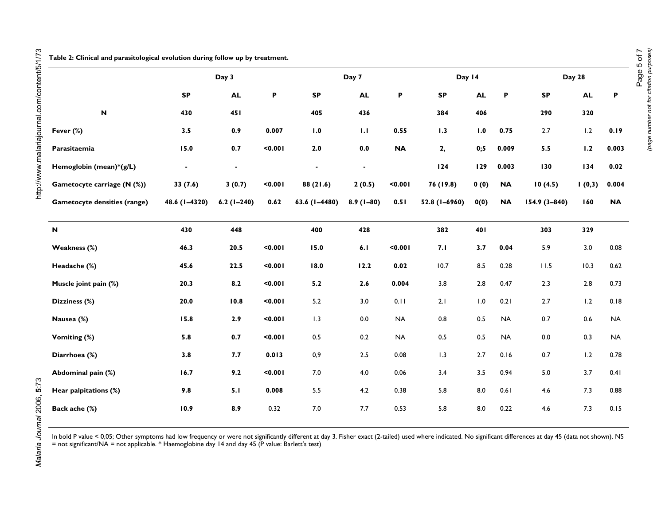J.

**Table 2: Clinical and parasitological evolution during follow up by treatment.**

|                                     | Day 3         |              |         | Day 7         |                |           | Day 14        |           |           | Day 28        |           |           |
|-------------------------------------|---------------|--------------|---------|---------------|----------------|-----------|---------------|-----------|-----------|---------------|-----------|-----------|
|                                     | <b>SP</b>     | <b>AL</b>    | P       | <b>SP</b>     | <b>AL</b>      | P         | <b>SP</b>     | <b>AL</b> | P         | <b>SP</b>     | <b>AL</b> | P         |
| $\mathbf N$                         | 430           | <b>451</b>   |         | 405           | 436            |           | 384           | 406       |           | 290           | 320       |           |
| Fever (%)                           | 3.5           | 0.9          | 0.007   | 1.0           | 1.1            | 0.55      | 1.3           | 1.0       | 0.75      | 2.7           | 1.2       | 0.19      |
| Parasitaemia                        | 15.0          | 0.7          | < 0.001 | $2.0$         | 0.0            | <b>NA</b> | 2,            | 0;5       | 0.009     | 5.5           | 1.2       | 0.003     |
| Hemoglobin (mean)*(g/L)             |               |              |         |               | $\blacksquare$ |           | 124           | 129       | 0.003     | 130           | 134       | 0.02      |
| Gametocyte carriage (N (%))         | 33(7.6)       | 3(0.7)       | < 0.001 | 88 (21.6)     | 2(0.5)         | < 0.001   | 76 (19.8)     | 0(0)      | <b>NA</b> | 10(4.5)       | 1(0,3)    | 0.004     |
| <b>Gametocyte densities (range)</b> | 48.6 (1-4320) | $6.2(1-240)$ | 0.62    | 63.6 (1-4480) | $8.9(1-80)$    | 0.51      | 52.8 (1-6960) | 0(0)      | <b>NA</b> | 154.9 (3-840) | 160       | <b>NA</b> |
| N                                   | 430           | 448          |         | 400           | 428            |           | 382           | 401       |           | 303           | 329       |           |
| Weakness (%)                        | 46.3          | 20.5         | < 0.001 | 15.0          | 6.1            | < 0.001   | 7.1           | 3.7       | 0.04      | 5.9           | 3.0       | 0.08      |
| Headache (%)                        | 45.6          | 22.5         | < 0.001 | 18.0          | 12.2           | 0.02      | 10.7          | $8.5\,$   | 0.28      | 11.5          | 10.3      | 0.62      |
| Muscle joint pain (%)               | 20.3          | 8.2          | 0.001   | 5.2           | 2.6            | 0.004     | 3.8           | $2.8\,$   | 0.47      | 2.3           | $2.8$     | 0.73      |
| Dizziness (%)                       | 20.0          | 10.8         | < 0.001 | 5.2           | 3.0            | 0.11      | 2.1           | 1.0       | 0.21      | 2.7           | 1.2       | 0.18      |
| Nausea (%)                          | 15.8          | 2.9          | $0.001$ | 1.3           | 0.0            | <b>NA</b> | 0.8           | $0.5\,$   | <b>NA</b> | 0.7           | 0.6       | <b>NA</b> |
| Vomiting (%)                        | 5.8           | 0.7          | < 0.001 | 0.5           | 0.2            | <b>NA</b> | $0.5\,$       | $0.5\,$   | <b>NA</b> | 0.0           | 0.3       | <b>NA</b> |
| Diarrhoea (%)                       | 3.8           | 7.7          | 0.013   | 0,9           | 2.5            | 0.08      | 1.3           | 2.7       | 0.16      | 0.7           | 1.2       | 0.78      |
| Abdominal pain (%)                  | 16.7          | 9.2          | < 0.001 | 7.0           | 4.0            | 0.06      | 3.4           | 3.5       | 0.94      | 5.0           | 3.7       | 0.41      |
| Hear palpitations (%)               | 9.8           | 5.1          | 0.008   | 5.5           | 4.2            | 0.38      | 5.8           | $8.0\,$   | 0.61      | 4.6           | 7.3       | 0.88      |
| Back ache (%)                       | 10.9          | 8.9          | 0.32    | 7.0           | 7.7            | 0.53      | 5.8           | 8.0       | 0.22      | 4.6           | 7.3       | 0.15      |

In bold P value < 0,05; Other symptoms had low frequency or were not significantly different at day 3. Fisher exact (2-tailed) used where indicated. No significant differences at day 45 (data not shown). NS = not significant/NA = not applicable. \* Haemoglobine day 14 and day 45 (P value: Barlett's test)

Malaria Journal 2006, 5:73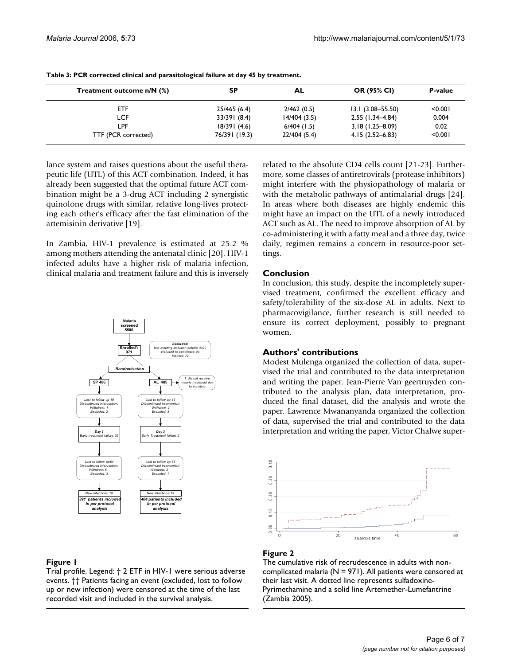| Treatment outcome n/N (%) | SP            | AL            | OR (95% CI)          | P-value |
|---------------------------|---------------|---------------|----------------------|---------|
| ETF                       | 25/465 (6.4)  | 2/462(0.5)    | $13.1(3.08 - 55.50)$ | < 0.001 |
| LCF                       | 33/391 (8.4)  | 14/404(3.5)   | $2.55(1.34 - 4.84)$  | 0.004   |
| LPF.                      | 18/391(4.6)   | $6/404$ (1.5) | $3.18(1.25 - 8.09)$  | 0.02    |
| TTF (PCR corrected)       | 76/391 (19.3) | 22/404 (5.4)  | $4.15(2.52 - 6.83)$  | < 0.001 |

|  |  |  |  |  | Table 3: PCR corrected clinical and parasitological failure at day 45 by treatment. |
|--|--|--|--|--|-------------------------------------------------------------------------------------|
|--|--|--|--|--|-------------------------------------------------------------------------------------|

lance system and raises questions about the useful therapeutic life (UTL) of this ACT combination. Indeed, it has already been suggested that the optimal future ACT combination might be a 3-drug ACT including 2 synergistic quinolone drugs with similar, relative long-lives protecting each other's efficacy after the fast elimination of the artemisinin derivative [19].

In Zambia, HIV-1 prevalence is estimated at 25.2 % among mothers attending the antenatal clinic [20]. HIV-1 infected adults have a higher risk of malaria infection, clinical malaria and treatment failure and this is inversely



#### **Figure 1**

Trial profile. Legend: † 2 ETF in HIV-1 were serious adverse events. †† Patients facing an event (excluded, lost to follow up or new infection) were censored at the time of the last recorded visit and included in the survival analysis.

related to the absolute CD4 cells count [21-23]. Furthermore, some classes of antiretrovirals (protease inhibitors) might interfere with the physiopathology of malaria or with the metabolic pathways of antimalarial drugs [24]. In areas where both diseases are highly endemic this might have an impact on the UTL of a newly introduced ACT such as AL. The need to improve absorption of AL by co-administering it with a fatty meal and a three day, twice daily, regimen remains a concern in resource-poor settings.

## **Conclusion**

In conclusion, this study, despite the incompletely supervised treatment, confirmed the excellent efficacy and safety/tolerability of the six-dose AL in adults. Next to pharmacovigilance, further research is still needed to ensure its correct deployment, possibly to pregnant women.

#### **Authors' contributions**

Modest Mulenga organized the collection of data, supervised the trial and contributed to the data interpretation and writing the paper. Jean-Pierre Van geertruyden contributed to the analysis plan, data interpretation, produced the final dataset, did the analysis and wrote the paper. Lawrence Mwananyanda organized the collection of data, supervised the trial and contributed to the data interpretation and writing the paper, Victor Chalwe super-



#### Figure 2

The cumulative risk of recrudescence in adults with noncomplicated malaria ( $N = 971$ ). All patients were censored at their last visit. A dotted line represents sulfadoxine-Pyrimethamine and a solid line Artemether-Lumefantrine (Zambia 2005).